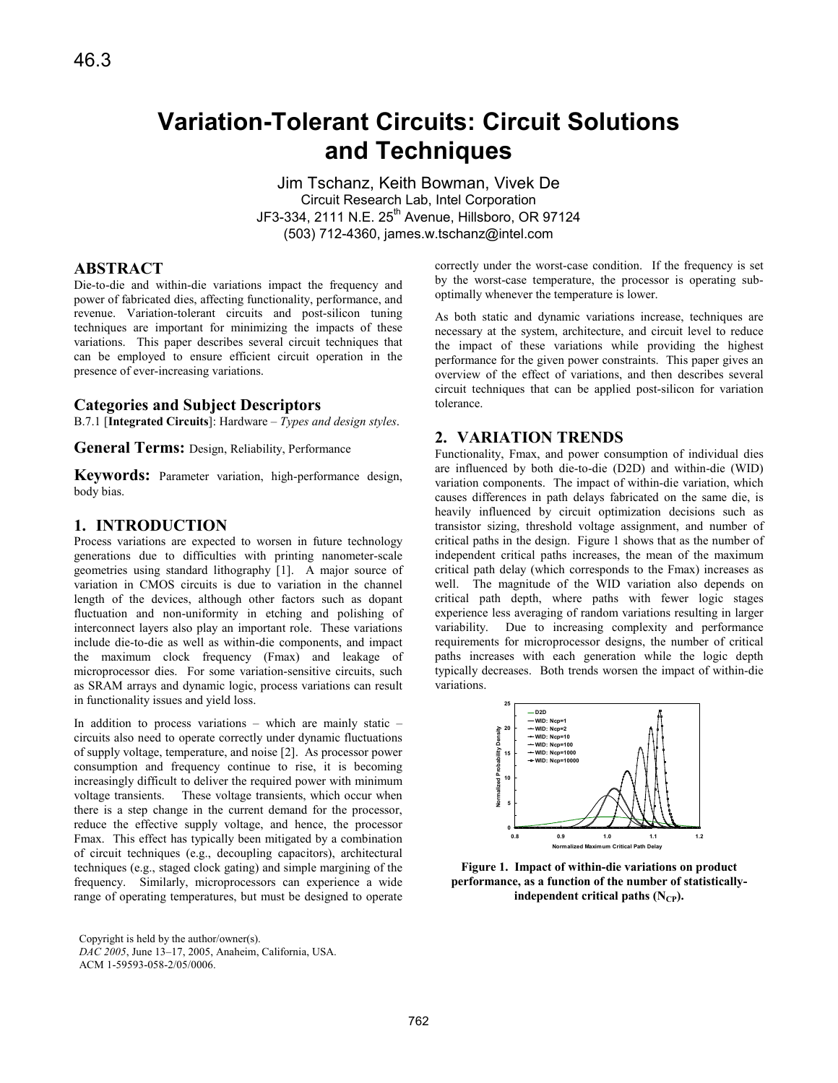# **Variation-Tolerant Circuits: Circuit Solutions and Techniques**

Jim Tschanz, Keith Bowman, Vivek De Circuit Research Lab, Intel Corporation JF3-334, 2111 N.E. 25<sup>th</sup> Avenue, Hillsboro, OR 97124 (503) 712-4360, james.w.tschanz@intel.com

### **ABSTRACT**

Die-to-die and within-die variations impact the frequency and power of fabricated dies, affecting functionality, performance, and revenue. Variation-tolerant circuits and post-silicon tuning techniques are important for minimizing the impacts of these variations. This paper describes several circuit techniques that can be employed to ensure efficient circuit operation in the presence of ever-increasing variations.

## **Categories and Subject Descriptors**

B.7.1 [**Integrated Circuits**]: Hardware – *Types and design styles*.

**General Terms:** Design, Reliability, Performance

**Keywords:** Parameter variation, high-performance design, body bias.

### **1. INTRODUCTION**

Process variations are expected to worsen in future technology generations due to difficulties with printing nanometer-scale geometries using standard lithography [1]. A major source of variation in CMOS circuits is due to variation in the channel length of the devices, although other factors such as dopant fluctuation and non-uniformity in etching and polishing of interconnect layers also play an important role. These variations include die-to-die as well as within-die components, and impact the maximum clock frequency (Fmax) and leakage of microprocessor dies. For some variation-sensitive circuits, such as SRAM arrays and dynamic logic, process variations can result in functionality issues and yield loss.

In addition to process variations – which are mainly static – circuits also need to operate correctly under dynamic fluctuations of supply voltage, temperature, and noise [2]. As processor power consumption and frequency continue to rise, it is becoming increasingly difficult to deliver the required power with minimum voltage transients. These voltage transients, which occur when there is a step change in the current demand for the processor, reduce the effective supply voltage, and hence, the processor Fmax. This effect has typically been mitigated by a combination of circuit techniques (e.g., decoupling capacitors), architectural techniques (e.g., staged clock gating) and simple margining of the frequency. Similarly, microprocessors can experience a wide range of operating temperatures, but must be designed to operate

Copyright is held by the author/owner(s). *DAC 2005*, June 13–17, 2005, Anaheim, California, USA. ACM 1-59593-058-2/05/0006.

correctly under the worst-case condition. If the frequency is set by the worst-case temperature, the processor is operating suboptimally whenever the temperature is lower.

As both static and dynamic variations increase, techniques are necessary at the system, architecture, and circuit level to reduce the impact of these variations while providing the highest performance for the given power constraints. This paper gives an overview of the effect of variations, and then describes several circuit techniques that can be applied post-silicon for variation tolerance.

### **2. VARIATION TRENDS**

Functionality, Fmax, and power consumption of individual dies are influenced by both die-to-die (D2D) and within-die (WID) variation components. The impact of within-die variation, which causes differences in path delays fabricated on the same die, is heavily influenced by circuit optimization decisions such as transistor sizing, threshold voltage assignment, and number of critical paths in the design. Figure 1 shows that as the number of independent critical paths increases, the mean of the maximum critical path delay (which corresponds to the Fmax) increases as well. The magnitude of the WID variation also depends on critical path depth, where paths with fewer logic stages experience less averaging of random variations resulting in larger variability. Due to increasing complexity and performance requirements for microprocessor designs, the number of critical paths increases with each generation while the logic depth typically decreases. Both trends worsen the impact of within-die variations.



**Figure 1. Impact of within-die variations on product performance, as a function of the number of statisticallyindependent critical paths**  $(N_{CP})$ **.**